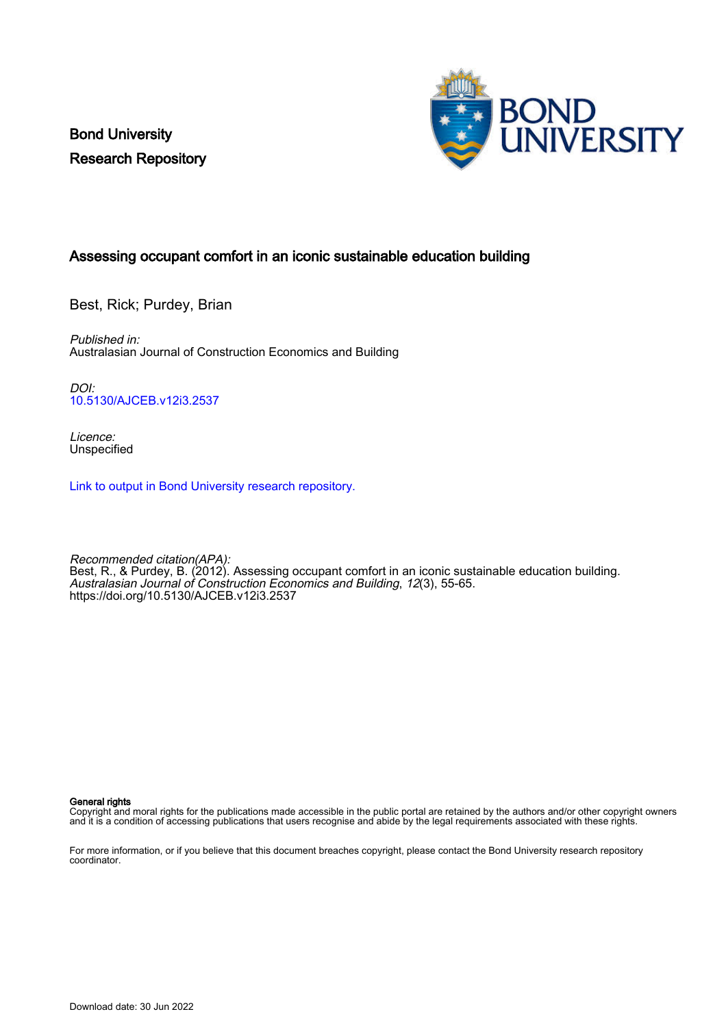Bond University Research Repository



#### Assessing occupant comfort in an iconic sustainable education building

Best, Rick; Purdey, Brian

Published in: Australasian Journal of Construction Economics and Building

DOI: [10.5130/AJCEB.v12i3.2537](https://doi.org/10.5130/AJCEB.v12i3.2537)

Licence: Unspecified

[Link to output in Bond University research repository.](https://research.bond.edu.au/en/publications/aca043ab-1ce7-45f2-94a9-c2b047d5dc94)

Recommended citation(APA): Best, R., & Purdey, B. (2012). Assessing occupant comfort in an iconic sustainable education building. Australasian Journal of Construction Economics and Building, 12(3), 55-65. <https://doi.org/10.5130/AJCEB.v12i3.2537>

General rights

Copyright and moral rights for the publications made accessible in the public portal are retained by the authors and/or other copyright owners and it is a condition of accessing publications that users recognise and abide by the legal requirements associated with these rights.

For more information, or if you believe that this document breaches copyright, please contact the Bond University research repository coordinator.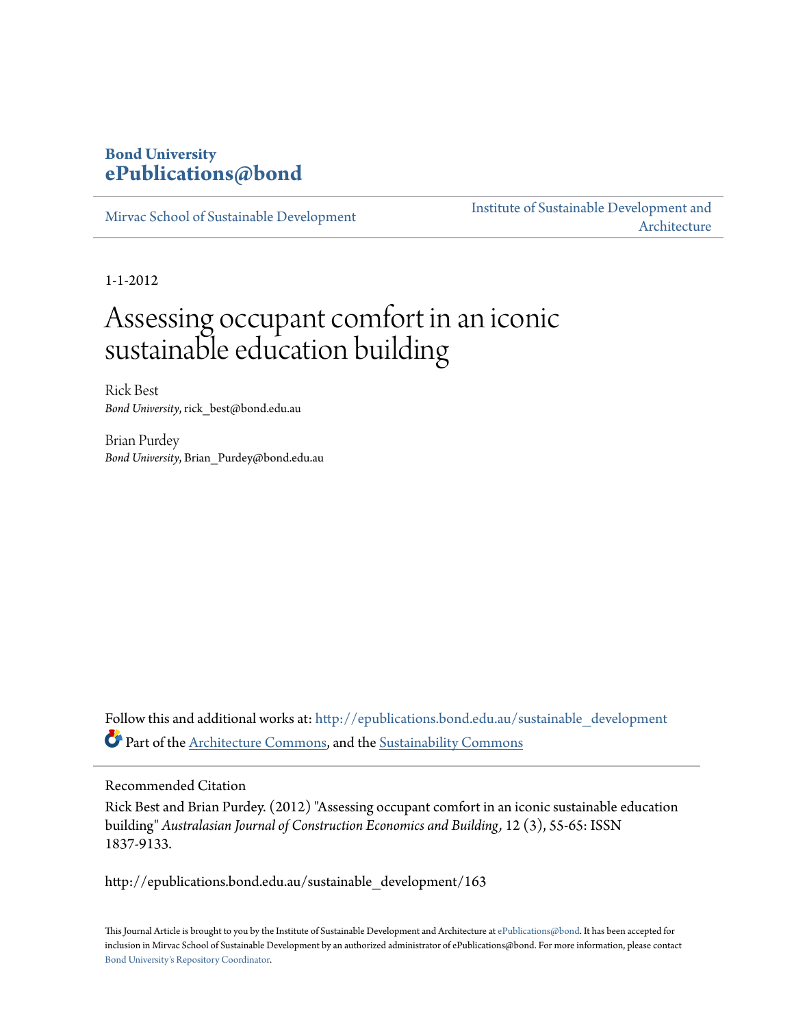# **Bond University [ePublications@bond](http://epublications.bond.edu.au?utm_source=epublications.bond.edu.au%2Fsustainable_development%2F163&utm_medium=PDF&utm_campaign=PDFCoverPages)**

[Mirvac School of Sustainable Development](http://epublications.bond.edu.au/sustainable_development?utm_source=epublications.bond.edu.au%2Fsustainable_development%2F163&utm_medium=PDF&utm_campaign=PDFCoverPages)

[Institute of Sustainable Development and](http://epublications.bond.edu.au/sustainabledev?utm_source=epublications.bond.edu.au%2Fsustainable_development%2F163&utm_medium=PDF&utm_campaign=PDFCoverPages) [Architecture](http://epublications.bond.edu.au/sustainabledev?utm_source=epublications.bond.edu.au%2Fsustainable_development%2F163&utm_medium=PDF&utm_campaign=PDFCoverPages)

1-1-2012

# Assessing occupant comfort in an iconic sustainable education building

Rick Best *Bond University*, rick\_best@bond.edu.au

Brian Purdey *Bond University*, Brian\_Purdey@bond.edu.au

Follow this and additional works at: [http://epublications.bond.edu.au/sustainable\\_development](http://epublications.bond.edu.au/sustainable_development?utm_source=epublications.bond.edu.au%2Fsustainable_development%2F163&utm_medium=PDF&utm_campaign=PDFCoverPages) Part of the [Architecture Commons](http://network.bepress.com/hgg/discipline/773?utm_source=epublications.bond.edu.au%2Fsustainable_development%2F163&utm_medium=PDF&utm_campaign=PDFCoverPages), and the [Sustainability Commons](http://network.bepress.com/hgg/discipline/1031?utm_source=epublications.bond.edu.au%2Fsustainable_development%2F163&utm_medium=PDF&utm_campaign=PDFCoverPages)

#### Recommended Citation

Rick Best and Brian Purdey. (2012) "Assessing occupant comfort in an iconic sustainable education building" *Australasian Journal of Construction Economics and Building,* 12 (3), 55-65: ISSN 1837-9133.

http://epublications.bond.edu.au/sustainable\_development/163

This Journal Article is brought to you by the Institute of Sustainable Development and Architecture at [ePublications@bond](http://epublications.bond.edu.au). It has been accepted for inclusion in Mirvac School of Sustainable Development by an authorized administrator of ePublications@bond. For more information, please contact [Bond University's Repository Coordinator](mailto:acass@bond.edu.au).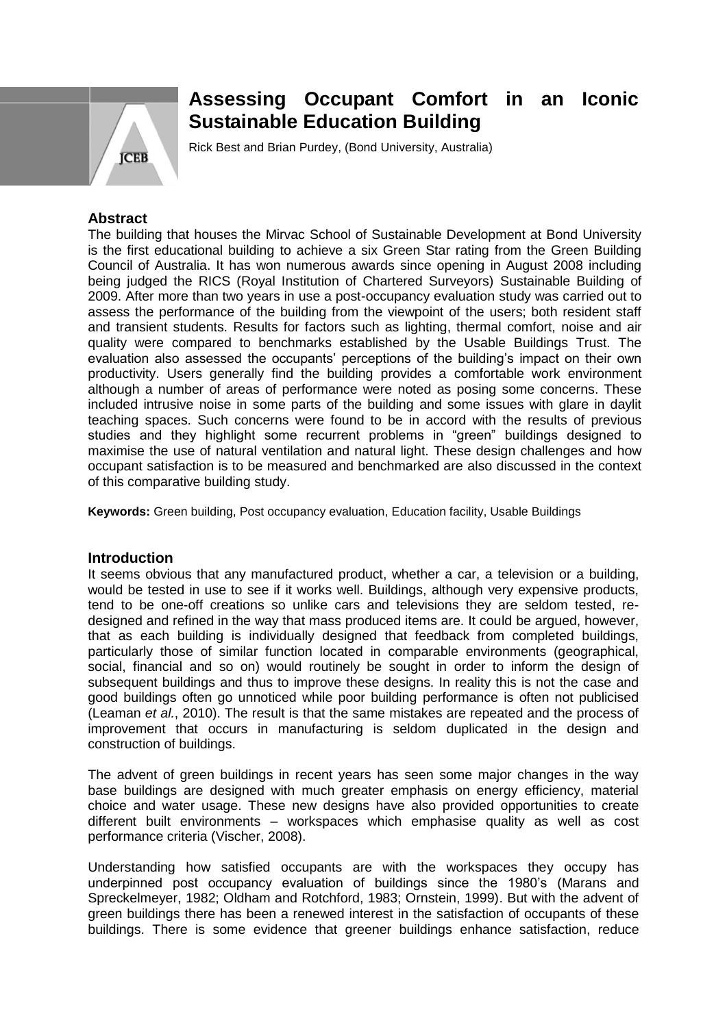

# **Assessing Occupant Comfort in an Iconic Sustainable Education Building**

Rick Best and Brian Purdey, (Bond University, Australia)

#### **Abstract**

The building that houses the Mirvac School of Sustainable Development at Bond University is the first educational building to achieve a six Green Star rating from the Green Building Council of Australia. It has won numerous awards since opening in August 2008 including being judged the RICS (Royal Institution of Chartered Surveyors) Sustainable Building of 2009. After more than two years in use a post-occupancy evaluation study was carried out to assess the performance of the building from the viewpoint of the users; both resident staff and transient students. Results for factors such as lighting, thermal comfort, noise and air quality were compared to benchmarks established by the Usable Buildings Trust. The evaluation also assessed the occupants' perceptions of the building's impact on their own productivity. Users generally find the building provides a comfortable work environment although a number of areas of performance were noted as posing some concerns. These included intrusive noise in some parts of the building and some issues with glare in daylit teaching spaces. Such concerns were found to be in accord with the results of previous studies and they highlight some recurrent problems in "green" buildings designed to maximise the use of natural ventilation and natural light. These design challenges and how occupant satisfaction is to be measured and benchmarked are also discussed in the context of this comparative building study.

**Keywords:** Green building, Post occupancy evaluation, Education facility, Usable Buildings

#### **Introduction**

It seems obvious that any manufactured product, whether a car, a television or a building, would be tested in use to see if it works well. Buildings, although very expensive products, tend to be one-off creations so unlike cars and televisions they are seldom tested, redesigned and refined in the way that mass produced items are. It could be argued, however, that as each building is individually designed that feedback from completed buildings, particularly those of similar function located in comparable environments (geographical, social, financial and so on) would routinely be sought in order to inform the design of subsequent buildings and thus to improve these designs. In reality this is not the case and good buildings often go unnoticed while poor building performance is often not publicised (Leaman *et al.*, 2010). The result is that the same mistakes are repeated and the process of improvement that occurs in manufacturing is seldom duplicated in the design and construction of buildings.

The advent of green buildings in recent years has seen some major changes in the way base buildings are designed with much greater emphasis on energy efficiency, material choice and water usage. These new designs have also provided opportunities to create different built environments – workspaces which emphasise quality as well as cost performance criteria (Vischer, 2008).

Understanding how satisfied occupants are with the workspaces they occupy has underpinned post occupancy evaluation of buildings since the 1980's (Marans and Spreckelmeyer, 1982; Oldham and Rotchford, 1983; Ornstein, 1999). But with the advent of green buildings there has been a renewed interest in the satisfaction of occupants of these buildings. There is some evidence that greener buildings enhance satisfaction, reduce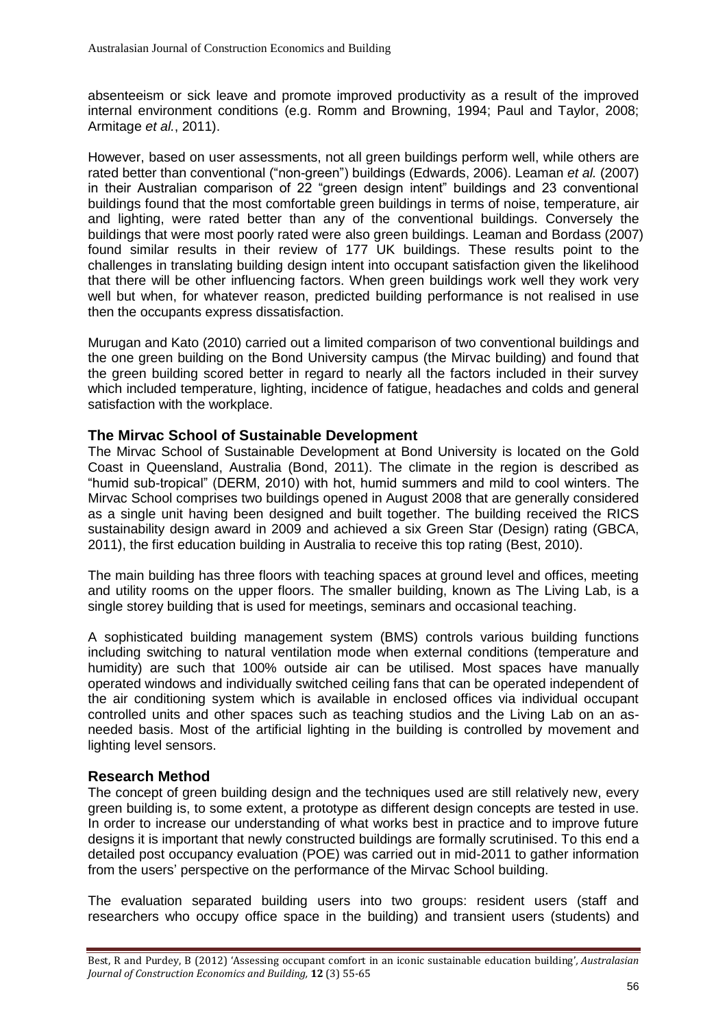absenteeism or sick leave and promote improved productivity as a result of the improved internal environment conditions (e.g. Romm and Browning, 1994; Paul and Taylor, 2008; Armitage *et al.*, 2011).

However, based on user assessments, not all green buildings perform well, while others are rated better than conventional ("non-green") buildings (Edwards, 2006). Leaman *et al.* (2007) in their Australian comparison of 22 "green design intent" buildings and 23 conventional buildings found that the most comfortable green buildings in terms of noise, temperature, air and lighting, were rated better than any of the conventional buildings. Conversely the buildings that were most poorly rated were also green buildings. Leaman and Bordass (2007) found similar results in their review of 177 UK buildings. These results point to the challenges in translating building design intent into occupant satisfaction given the likelihood that there will be other influencing factors. When green buildings work well they work very well but when, for whatever reason, predicted building performance is not realised in use then the occupants express dissatisfaction.

Murugan and Kato (2010) carried out a limited comparison of two conventional buildings and the one green building on the Bond University campus (the Mirvac building) and found that the green building scored better in regard to nearly all the factors included in their survey which included temperature, lighting, incidence of fatigue, headaches and colds and general satisfaction with the workplace.

#### **The Mirvac School of Sustainable Development**

The Mirvac School of Sustainable Development at Bond University is located on the Gold Coast in Queensland, Australia (Bond, 2011). The climate in the region is described as "humid sub-tropical" (DERM, 2010) with hot, humid summers and mild to cool winters. The Mirvac School comprises two buildings opened in August 2008 that are generally considered as a single unit having been designed and built together. The building received the RICS sustainability design award in 2009 and achieved a six Green Star (Design) rating (GBCA, 2011), the first education building in Australia to receive this top rating (Best, 2010).

The main building has three floors with teaching spaces at ground level and offices, meeting and utility rooms on the upper floors. The smaller building, known as The Living Lab, is a single storey building that is used for meetings, seminars and occasional teaching.

A sophisticated building management system (BMS) controls various building functions including switching to natural ventilation mode when external conditions (temperature and humidity) are such that 100% outside air can be utilised. Most spaces have manually operated windows and individually switched ceiling fans that can be operated independent of the air conditioning system which is available in enclosed offices via individual occupant controlled units and other spaces such as teaching studios and the Living Lab on an asneeded basis. Most of the artificial lighting in the building is controlled by movement and lighting level sensors.

#### **Research Method**

The concept of green building design and the techniques used are still relatively new, every green building is, to some extent, a prototype as different design concepts are tested in use. In order to increase our understanding of what works best in practice and to improve future designs it is important that newly constructed buildings are formally scrutinised. To this end a detailed post occupancy evaluation (POE) was carried out in mid-2011 to gather information from the users' perspective on the performance of the Mirvac School building.

The evaluation separated building users into two groups: resident users (staff and researchers who occupy office space in the building) and transient users (students) and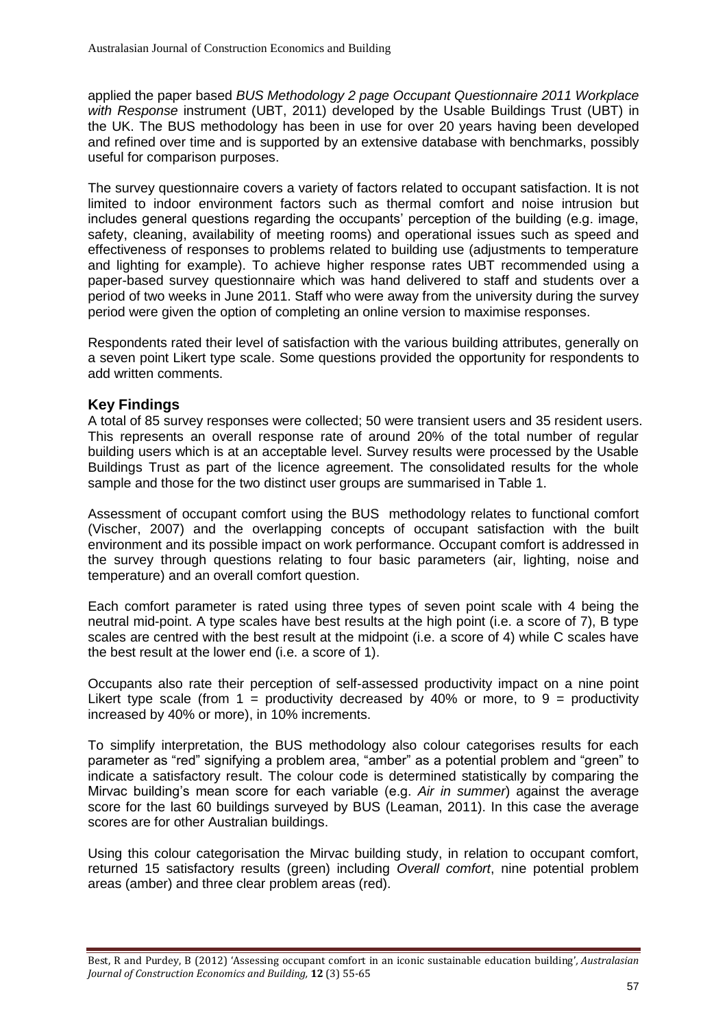applied the paper based *BUS Methodology 2 page Occupant Questionnaire 2011 Workplace with Response* instrument (UBT, 2011) developed by the Usable Buildings Trust (UBT) in the UK. The BUS methodology has been in use for over 20 years having been developed and refined over time and is supported by an extensive database with benchmarks, possibly useful for comparison purposes.

The survey questionnaire covers a variety of factors related to occupant satisfaction. It is not limited to indoor environment factors such as thermal comfort and noise intrusion but includes general questions regarding the occupants' perception of the building (e.g. image, safety, cleaning, availability of meeting rooms) and operational issues such as speed and effectiveness of responses to problems related to building use (adjustments to temperature and lighting for example). To achieve higher response rates UBT recommended using a paper-based survey questionnaire which was hand delivered to staff and students over a period of two weeks in June 2011. Staff who were away from the university during the survey period were given the option of completing an online version to maximise responses.

Respondents rated their level of satisfaction with the various building attributes, generally on a seven point Likert type scale. Some questions provided the opportunity for respondents to add written comments.

#### **Key Findings**

A total of 85 survey responses were collected; 50 were transient users and 35 resident users. This represents an overall response rate of around 20% of the total number of regular building users which is at an acceptable level. Survey results were processed by the Usable Buildings Trust as part of the licence agreement. The consolidated results for the whole sample and those for the two distinct user groups are summarised in Table 1.

Assessment of occupant comfort using the BUS methodology relates to functional comfort (Vischer, 2007) and the overlapping concepts of occupant satisfaction with the built environment and its possible impact on work performance. Occupant comfort is addressed in the survey through questions relating to four basic parameters (air, lighting, noise and temperature) and an overall comfort question.

Each comfort parameter is rated using three types of seven point scale with 4 being the neutral mid-point. A type scales have best results at the high point (i.e. a score of 7), B type scales are centred with the best result at the midpoint (i.e. a score of 4) while C scales have the best result at the lower end (i.e. a score of 1).

Occupants also rate their perception of self-assessed productivity impact on a nine point Likert type scale (from  $1 =$  productivity decreased by 40% or more, to  $9 =$  productivity increased by 40% or more), in 10% increments.

To simplify interpretation, the BUS methodology also colour categorises results for each parameter as "red" signifying a problem area, "amber" as a potential problem and "green" to indicate a satisfactory result. The colour code is determined statistically by comparing the Mirvac building's mean score for each variable (e.g. *Air in summer*) against the average score for the last 60 buildings surveyed by BUS (Leaman, 2011). In this case the average scores are for other Australian buildings.

Using this colour categorisation the Mirvac building study, in relation to occupant comfort, returned 15 satisfactory results (green) including *Overall comfort*, nine potential problem areas (amber) and three clear problem areas (red).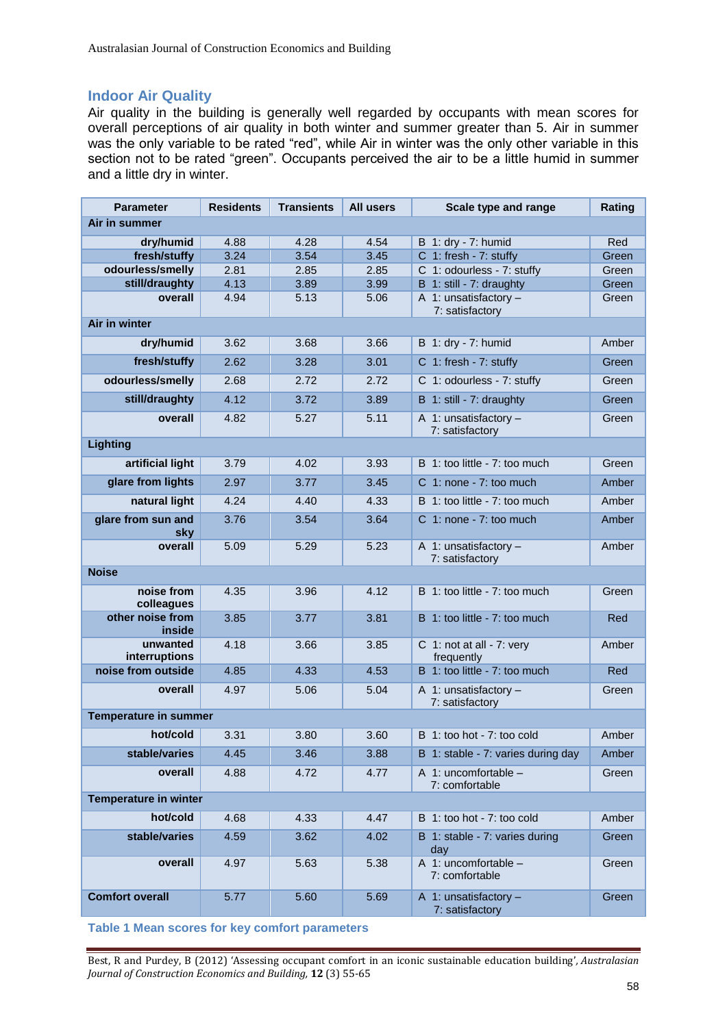#### **Indoor Air Quality**

Air quality in the building is generally well regarded by occupants with mean scores for overall perceptions of air quality in both winter and summer greater than 5. Air in summer was the only variable to be rated "red", while Air in winter was the only other variable in this section not to be rated "green". Occupants perceived the air to be a little humid in summer and a little dry in winter.

| <b>Parameter</b>             | <b>Residents</b> | <b>Transients</b> | All users | Scale type and range                       | Rating |  |  |  |  |
|------------------------------|------------------|-------------------|-----------|--------------------------------------------|--------|--|--|--|--|
| Air in summer                |                  |                   |           |                                            |        |  |  |  |  |
| dry/humid                    | 4.88             | 4.28              | 4.54      | B 1: dry - 7: humid                        | Red    |  |  |  |  |
| fresh/stuffy                 | 3.24             | 3.54              | 3.45      | C 1: fresh - 7: stuffy                     | Green  |  |  |  |  |
| odourless/smelly             | 2.81             | 2.85              | 2.85      | C 1: odourless - 7: stuffy                 | Green  |  |  |  |  |
| still/draughty               | 4.13             | 3.89              | 3.99      | B 1: still - 7: draughty                   | Green  |  |  |  |  |
| overall                      | 4.94             | 5.13              | 5.06      | A 1: unsatisfactory $-$<br>7: satisfactory | Green  |  |  |  |  |
| Air in winter                |                  |                   |           |                                            |        |  |  |  |  |
| dry/humid                    | 3.62             | 3.68              | 3.66      | B 1: dry - 7: humid                        | Amber  |  |  |  |  |
| fresh/stuffy                 | 2.62             | 3.28              | 3.01      | C 1: fresh - 7: stuffy                     | Green  |  |  |  |  |
| odourless/smelly             | 2.68             | 2.72              | 2.72      | C 1: odourless - 7: stuffy                 | Green  |  |  |  |  |
| still/draughty               | 4.12             | 3.72              | 3.89      | B 1: still - 7: draughty                   | Green  |  |  |  |  |
| overall                      | 4.82             | 5.27              | 5.11      | A 1: unsatisfactory $-$<br>7: satisfactory | Green  |  |  |  |  |
| <b>Lighting</b>              |                  |                   |           |                                            |        |  |  |  |  |
| artificial light             | 3.79             | 4.02              | 3.93      | B 1: too little - 7: too much              | Green  |  |  |  |  |
| glare from lights            | 2.97             | 3.77              | 3.45      | $C$ 1: none - 7: too much                  | Amber  |  |  |  |  |
| natural light                | 4.24             | 4.40              | 4.33      | B 1: too little - 7: too much              | Amber  |  |  |  |  |
| glare from sun and<br>sky    | 3.76             | 3.54              | 3.64      | $C$ 1: none - 7: too much                  | Amber  |  |  |  |  |
| overall                      | 5.09             | 5.29              | 5.23      | A 1: unsatisfactory $-$<br>7: satisfactory | Amber  |  |  |  |  |
| <b>Noise</b>                 |                  |                   |           |                                            |        |  |  |  |  |
| noise from<br>colleagues     | 4.35             | 3.96              | 4.12      | B 1: too little - 7: too much              | Green  |  |  |  |  |
| other noise from<br>inside   | 3.85             | 3.77              | 3.81      | B 1: too little - 7: too much              | Red    |  |  |  |  |
| unwanted<br>interruptions    | 4.18             | 3.66              | 3.85      | C 1: not at all - 7: very<br>frequently    | Amber  |  |  |  |  |
| noise from outside           | 4.85             | 4.33              | 4.53      | B 1: too little - 7: too much              | Red    |  |  |  |  |
| overall                      | 4.97             | 5.06              | 5.04      | A 1: unsatisfactory $-$<br>7: satisfactory | Green  |  |  |  |  |
| <b>Temperature in summer</b> |                  |                   |           |                                            |        |  |  |  |  |
| hot/cold                     | 3.31             | 3.80              | 3.60      | B 1: too hot - 7: too cold                 | Amber  |  |  |  |  |
| stable/varies                | 4.45             | 3.46              | 3.88      | B 1: stable - 7: varies during day         | Amber  |  |  |  |  |
| overall                      | 4.88             | 4.72              | 4.77      | A 1: uncomfortable -<br>7: comfortable     | Green  |  |  |  |  |
| <b>Temperature in winter</b> |                  |                   |           |                                            |        |  |  |  |  |
| hot/cold                     | 4.68             | 4.33              | 4.47      | B 1: too hot - 7: too cold                 | Amber  |  |  |  |  |
| stable/varies                | 4.59             | 3.62              | 4.02      | B 1: stable - 7: varies during<br>day      | Green  |  |  |  |  |
| overall                      | 4.97             | 5.63              | 5.38      | A 1: uncomfortable -<br>7: comfortable     | Green  |  |  |  |  |
| <b>Comfort overall</b>       | 5.77             | 5.60              | 5.69      | A 1: unsatisfactory $-$<br>7: satisfactory | Green  |  |  |  |  |

**Table 1 Mean scores for key comfort parameters**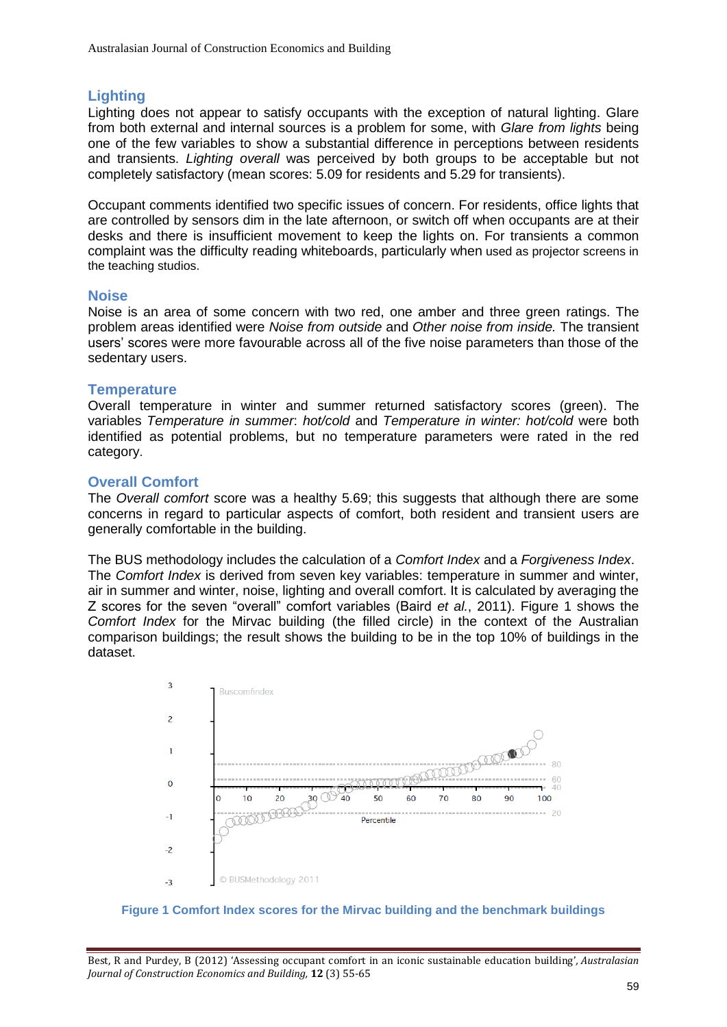# **Lighting**

Lighting does not appear to satisfy occupants with the exception of natural lighting. Glare from both external and internal sources is a problem for some, with *Glare from lights* being one of the few variables to show a substantial difference in perceptions between residents and transients. *Lighting overall* was perceived by both groups to be acceptable but not completely satisfactory (mean scores: 5.09 for residents and 5.29 for transients).

Occupant comments identified two specific issues of concern. For residents, office lights that are controlled by sensors dim in the late afternoon, or switch off when occupants are at their desks and there is insufficient movement to keep the lights on. For transients a common complaint was the difficulty reading whiteboards, particularly when used as projector screens in the teaching studios.

#### **Noise**

Noise is an area of some concern with two red, one amber and three green ratings. The problem areas identified were *Noise from outside* and *Other noise from inside.* The transient users' scores were more favourable across all of the five noise parameters than those of the sedentary users.

#### **Temperature**

Overall temperature in winter and summer returned satisfactory scores (green). The variables *Temperature in summer*: *hot/cold* and *Temperature in winter: hot/cold* were both identified as potential problems, but no temperature parameters were rated in the red category.

#### **Overall Comfort**

The *Overall comfort* score was a healthy 5.69; this suggests that although there are some concerns in regard to particular aspects of comfort, both resident and transient users are generally comfortable in the building.

The BUS methodology includes the calculation of a *Comfort Index* and a *Forgiveness Index*. The *Comfort Index* is derived from seven key variables: temperature in summer and winter, air in summer and winter, noise, lighting and overall comfort. It is calculated by averaging the Z scores for the seven "overall" comfort variables (Baird *et al.*, 2011). Figure 1 shows the *Comfort Index* for the Mirvac building (the filled circle) in the context of the Australian comparison buildings; the result shows the building to be in the top 10% of buildings in the dataset.



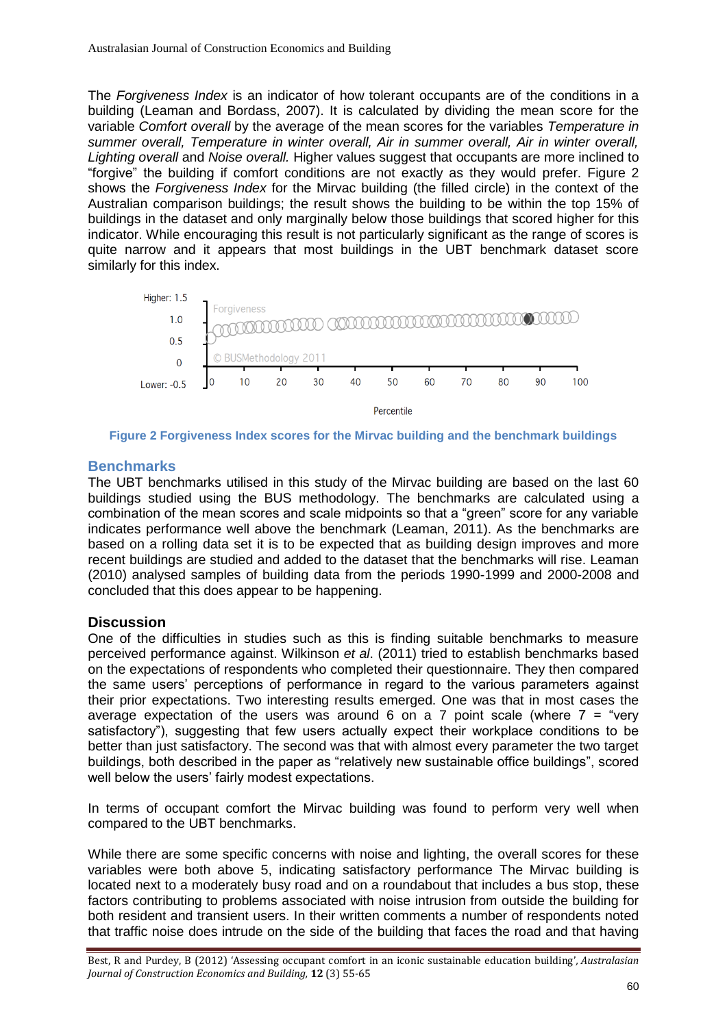The *Forgiveness Index* is an indicator of how tolerant occupants are of the conditions in a building (Leaman and Bordass, 2007). It is calculated by dividing the mean score for the variable *Comfort overall* by the average of the mean scores for the variables *Temperature in summer overall, Temperature in winter overall, Air in summer overall, Air in winter overall, Lighting overall* and *Noise overall.* Higher values suggest that occupants are more inclined to "forgive" the building if comfort conditions are not exactly as they would prefer. Figure 2 shows the *Forgiveness Index* for the Mirvac building (the filled circle) in the context of the Australian comparison buildings; the result shows the building to be within the top 15% of buildings in the dataset and only marginally below those buildings that scored higher for this indicator. While encouraging this result is not particularly significant as the range of scores is quite narrow and it appears that most buildings in the UBT benchmark dataset score similarly for this index.



**Figure 2 Forgiveness Index scores for the Mirvac building and the benchmark buildings**

# **Benchmarks**

The UBT benchmarks utilised in this study of the Mirvac building are based on the last 60 buildings studied using the BUS methodology. The benchmarks are calculated using a combination of the mean scores and scale midpoints so that a "green" score for any variable indicates performance well above the benchmark (Leaman, 2011). As the benchmarks are based on a rolling data set it is to be expected that as building design improves and more recent buildings are studied and added to the dataset that the benchmarks will rise. Leaman (2010) analysed samples of building data from the periods 1990-1999 and 2000-2008 and concluded that this does appear to be happening.

# **Discussion**

One of the difficulties in studies such as this is finding suitable benchmarks to measure perceived performance against. Wilkinson *et al*. (2011) tried to establish benchmarks based on the expectations of respondents who completed their questionnaire. They then compared the same users' perceptions of performance in regard to the various parameters against their prior expectations. Two interesting results emerged. One was that in most cases the average expectation of the users was around 6 on a 7 point scale (where  $7 =$  "very satisfactory"), suggesting that few users actually expect their workplace conditions to be better than just satisfactory. The second was that with almost every parameter the two target buildings, both described in the paper as "relatively new sustainable office buildings", scored well below the users' fairly modest expectations.

In terms of occupant comfort the Mirvac building was found to perform very well when compared to the UBT benchmarks.

While there are some specific concerns with noise and lighting, the overall scores for these variables were both above 5, indicating satisfactory performance The Mirvac building is located next to a moderately busy road and on a roundabout that includes a bus stop, these factors contributing to problems associated with noise intrusion from outside the building for both resident and transient users. In their written comments a number of respondents noted that traffic noise does intrude on the side of the building that faces the road and that having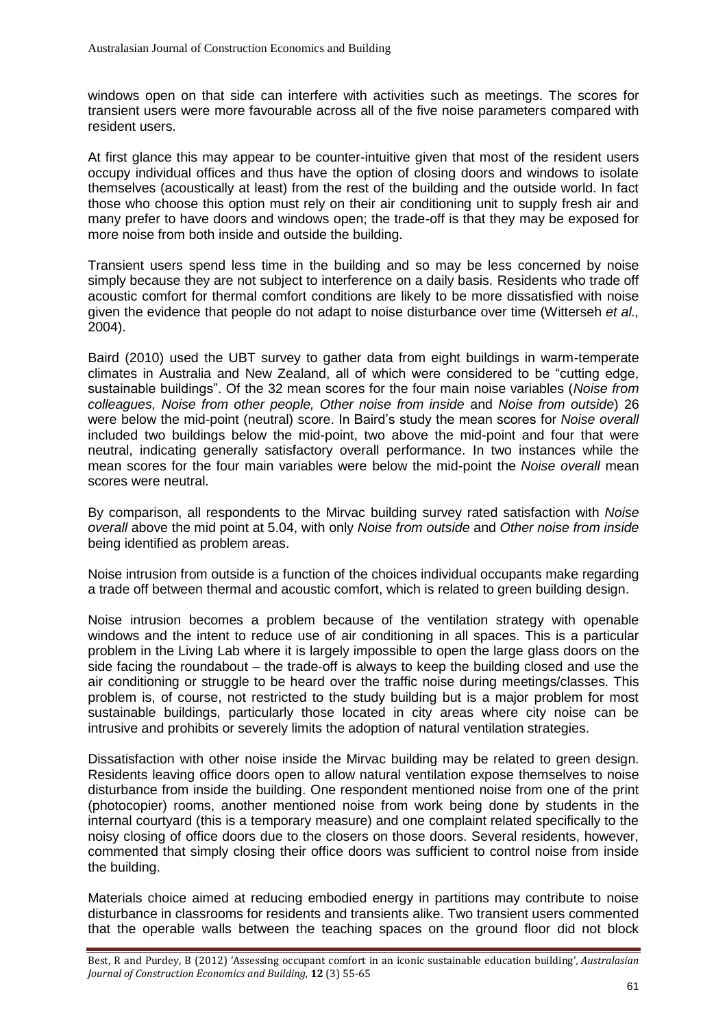windows open on that side can interfere with activities such as meetings. The scores for transient users were more favourable across all of the five noise parameters compared with resident users.

At first glance this may appear to be counter-intuitive given that most of the resident users occupy individual offices and thus have the option of closing doors and windows to isolate themselves (acoustically at least) from the rest of the building and the outside world. In fact those who choose this option must rely on their air conditioning unit to supply fresh air and many prefer to have doors and windows open; the trade-off is that they may be exposed for more noise from both inside and outside the building.

Transient users spend less time in the building and so may be less concerned by noise simply because they are not subject to interference on a daily basis. Residents who trade off acoustic comfort for thermal comfort conditions are likely to be more dissatisfied with noise given the evidence that people do not adapt to noise disturbance over time (Witterseh *et al.,* 2004).

Baird (2010) used the UBT survey to gather data from eight buildings in warm-temperate climates in Australia and New Zealand, all of which were considered to be "cutting edge, sustainable buildings". Of the 32 mean scores for the four main noise variables (*Noise from colleagues, Noise from other people, Other noise from inside* and *Noise from outside*) 26 were below the mid-point (neutral) score. In Baird's study the mean scores for *Noise overall* included two buildings below the mid-point, two above the mid-point and four that were neutral, indicating generally satisfactory overall performance. In two instances while the mean scores for the four main variables were below the mid-point the *Noise overall* mean scores were neutral.

By comparison, all respondents to the Mirvac building survey rated satisfaction with *Noise overall* above the mid point at 5.04, with only *Noise from outside* and *Other noise from inside* being identified as problem areas.

Noise intrusion from outside is a function of the choices individual occupants make regarding a trade off between thermal and acoustic comfort, which is related to green building design.

Noise intrusion becomes a problem because of the ventilation strategy with openable windows and the intent to reduce use of air conditioning in all spaces. This is a particular problem in the Living Lab where it is largely impossible to open the large glass doors on the side facing the roundabout – the trade-off is always to keep the building closed and use the air conditioning or struggle to be heard over the traffic noise during meetings/classes. This problem is, of course, not restricted to the study building but is a major problem for most sustainable buildings, particularly those located in city areas where city noise can be intrusive and prohibits or severely limits the adoption of natural ventilation strategies.

Dissatisfaction with other noise inside the Mirvac building may be related to green design. Residents leaving office doors open to allow natural ventilation expose themselves to noise disturbance from inside the building. One respondent mentioned noise from one of the print (photocopier) rooms, another mentioned noise from work being done by students in the internal courtyard (this is a temporary measure) and one complaint related specifically to the noisy closing of office doors due to the closers on those doors. Several residents, however, commented that simply closing their office doors was sufficient to control noise from inside the building.

Materials choice aimed at reducing embodied energy in partitions may contribute to noise disturbance in classrooms for residents and transients alike. Two transient users commented that the operable walls between the teaching spaces on the ground floor did not block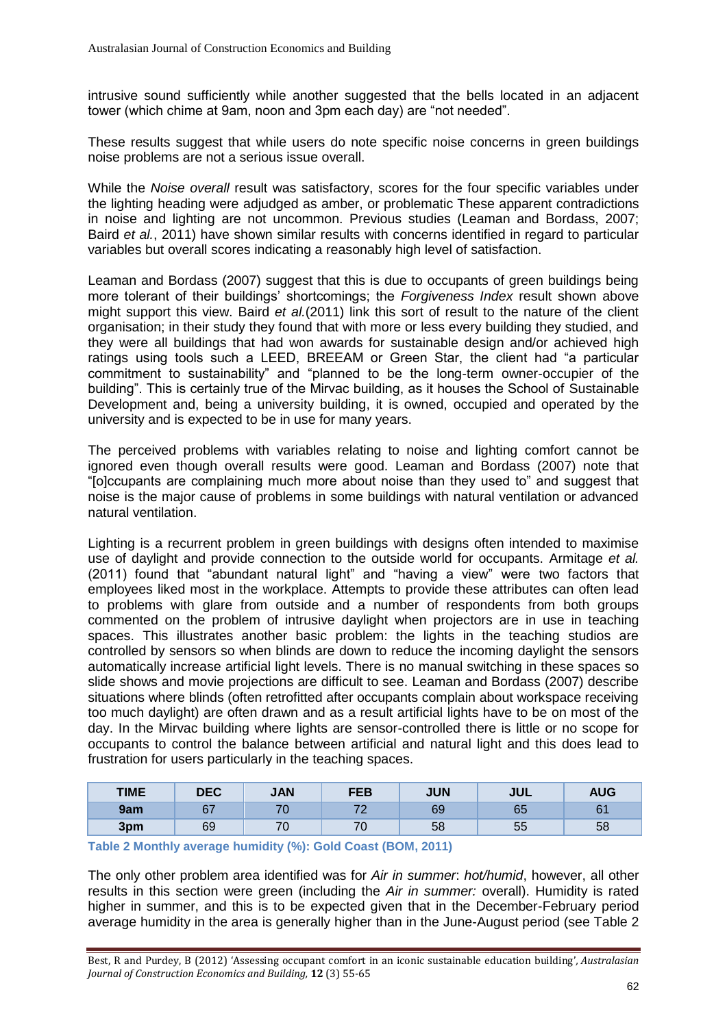intrusive sound sufficiently while another suggested that the bells located in an adjacent tower (which chime at 9am, noon and 3pm each day) are "not needed".

These results suggest that while users do note specific noise concerns in green buildings noise problems are not a serious issue overall.

While the *Noise overall* result was satisfactory, scores for the four specific variables under the lighting heading were adjudged as amber, or problematic These apparent contradictions in noise and lighting are not uncommon. Previous studies (Leaman and Bordass, 2007; Baird *et al.*, 2011) have shown similar results with concerns identified in regard to particular variables but overall scores indicating a reasonably high level of satisfaction.

Leaman and Bordass (2007) suggest that this is due to occupants of green buildings being more tolerant of their buildings' shortcomings; the *Forgiveness Index* result shown above might support this view. Baird *et al.*(2011) link this sort of result to the nature of the client organisation; in their study they found that with more or less every building they studied, and they were all buildings that had won awards for sustainable design and/or achieved high ratings using tools such a LEED, BREEAM or Green Star, the client had "a particular commitment to sustainability" and "planned to be the long-term owner-occupier of the building". This is certainly true of the Mirvac building, as it houses the School of Sustainable Development and, being a university building, it is owned, occupied and operated by the university and is expected to be in use for many years.

The perceived problems with variables relating to noise and lighting comfort cannot be ignored even though overall results were good. Leaman and Bordass (2007) note that "[o]ccupants are complaining much more about noise than they used to" and suggest that noise is the major cause of problems in some buildings with natural ventilation or advanced natural ventilation.

Lighting is a recurrent problem in green buildings with designs often intended to maximise use of daylight and provide connection to the outside world for occupants. Armitage *et al.* (2011) found that "abundant natural light" and "having a view" were two factors that employees liked most in the workplace. Attempts to provide these attributes can often lead to problems with glare from outside and a number of respondents from both groups commented on the problem of intrusive daylight when projectors are in use in teaching spaces. This illustrates another basic problem: the lights in the teaching studios are controlled by sensors so when blinds are down to reduce the incoming daylight the sensors automatically increase artificial light levels. There is no manual switching in these spaces so slide shows and movie projections are difficult to see. Leaman and Bordass (2007) describe situations where blinds (often retrofitted after occupants complain about workspace receiving too much daylight) are often drawn and as a result artificial lights have to be on most of the day. In the Mirvac building where lights are sensor-controlled there is little or no scope for occupants to control the balance between artificial and natural light and this does lead to frustration for users particularly in the teaching spaces.

| <b>TIME</b> | <b>DEC</b> | <b>JAN</b> | <b>FEB</b>     | <b>JUN</b> | <b>JUL</b> | <b>AUG</b> |
|-------------|------------|------------|----------------|------------|------------|------------|
| 9am         | c7         |            | ァ              | 69         | ხე         |            |
| 3pm         | 69         | 70         | 7 <sup>c</sup> | 58         | 55         | 58         |

**Table 2 Monthly average humidity (%): Gold Coast (BOM, 2011)**

The only other problem area identified was for *Air in summer*: *hot/humid*, however, all other results in this section were green (including the *Air in summer:* overall). Humidity is rated higher in summer, and this is to be expected given that in the December-February period average humidity in the area is generally higher than in the June-August period (see Table 2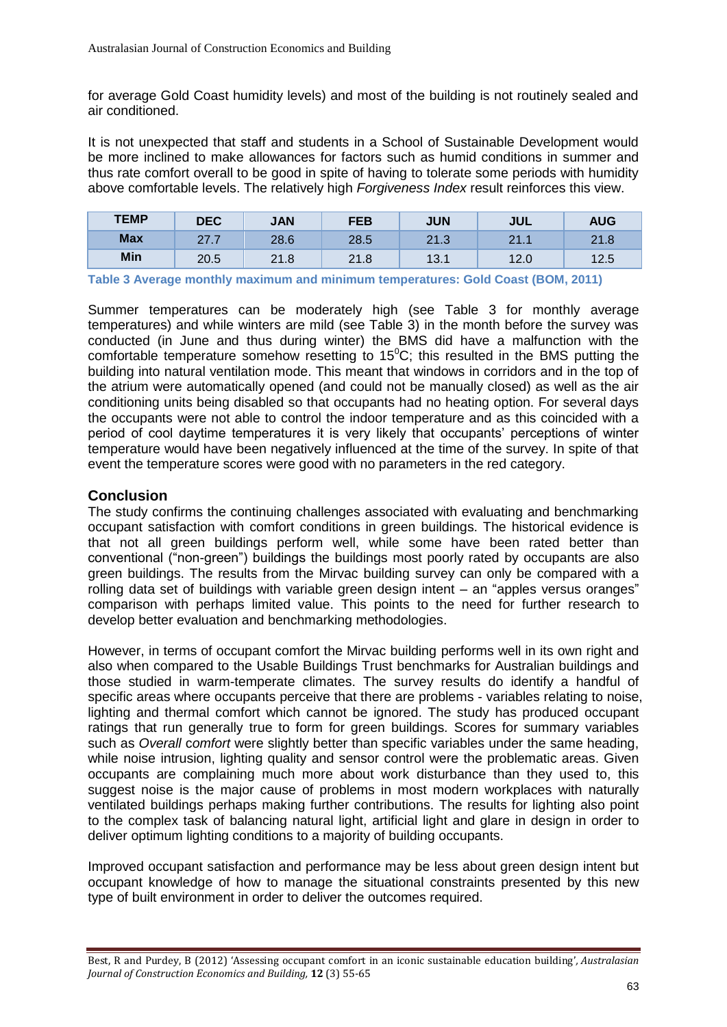for average Gold Coast humidity levels) and most of the building is not routinely sealed and air conditioned.

It is not unexpected that staff and students in a School of Sustainable Development would be more inclined to make allowances for factors such as humid conditions in summer and thus rate comfort overall to be good in spite of having to tolerate some periods with humidity above comfortable levels. The relatively high *Forgiveness Index* result reinforces this view.

| <b>TEMP</b> | <b>DEC</b> | <b>JAN</b> | <b>FEB</b> | <b>JUN</b> | <b>JUL</b> | <b>AUG</b> |
|-------------|------------|------------|------------|------------|------------|------------|
| <b>Max</b>  | 27.7       | 28.6       | 28.5       | 21.3       | 21.1       | 21.8       |
| <b>Min</b>  | 20.5       | 21.8       | 21.8       | 13.1       | 12.0       | 12.5       |

**Table 3 Average monthly maximum and minimum temperatures: Gold Coast (BOM, 2011)**

Summer temperatures can be moderately high (see Table 3 for monthly average temperatures) and while winters are mild (see Table 3) in the month before the survey was conducted (in June and thus during winter) the BMS did have a malfunction with the comfortable temperature somehow resetting to  $15^{\circ}$ C; this resulted in the BMS putting the building into natural ventilation mode. This meant that windows in corridors and in the top of the atrium were automatically opened (and could not be manually closed) as well as the air conditioning units being disabled so that occupants had no heating option. For several days the occupants were not able to control the indoor temperature and as this coincided with a period of cool daytime temperatures it is very likely that occupants' perceptions of winter temperature would have been negatively influenced at the time of the survey. In spite of that event the temperature scores were good with no parameters in the red category.

#### **Conclusion**

The study confirms the continuing challenges associated with evaluating and benchmarking occupant satisfaction with comfort conditions in green buildings. The historical evidence is that not all green buildings perform well, while some have been rated better than conventional ("non-green") buildings the buildings most poorly rated by occupants are also green buildings. The results from the Mirvac building survey can only be compared with a rolling data set of buildings with variable green design intent – an "apples versus oranges" comparison with perhaps limited value. This points to the need for further research to develop better evaluation and benchmarking methodologies.

However, in terms of occupant comfort the Mirvac building performs well in its own right and also when compared to the Usable Buildings Trust benchmarks for Australian buildings and those studied in warm-temperate climates. The survey results do identify a handful of specific areas where occupants perceive that there are problems - variables relating to noise, lighting and thermal comfort which cannot be ignored. The study has produced occupant ratings that run generally true to form for green buildings. Scores for summary variables such as *Overall* c*omfort* were slightly better than specific variables under the same heading, while noise intrusion, lighting quality and sensor control were the problematic areas. Given occupants are complaining much more about work disturbance than they used to, this suggest noise is the major cause of problems in most modern workplaces with naturally ventilated buildings perhaps making further contributions. The results for lighting also point to the complex task of balancing natural light, artificial light and glare in design in order to deliver optimum lighting conditions to a majority of building occupants.

Improved occupant satisfaction and performance may be less about green design intent but occupant knowledge of how to manage the situational constraints presented by this new type of built environment in order to deliver the outcomes required.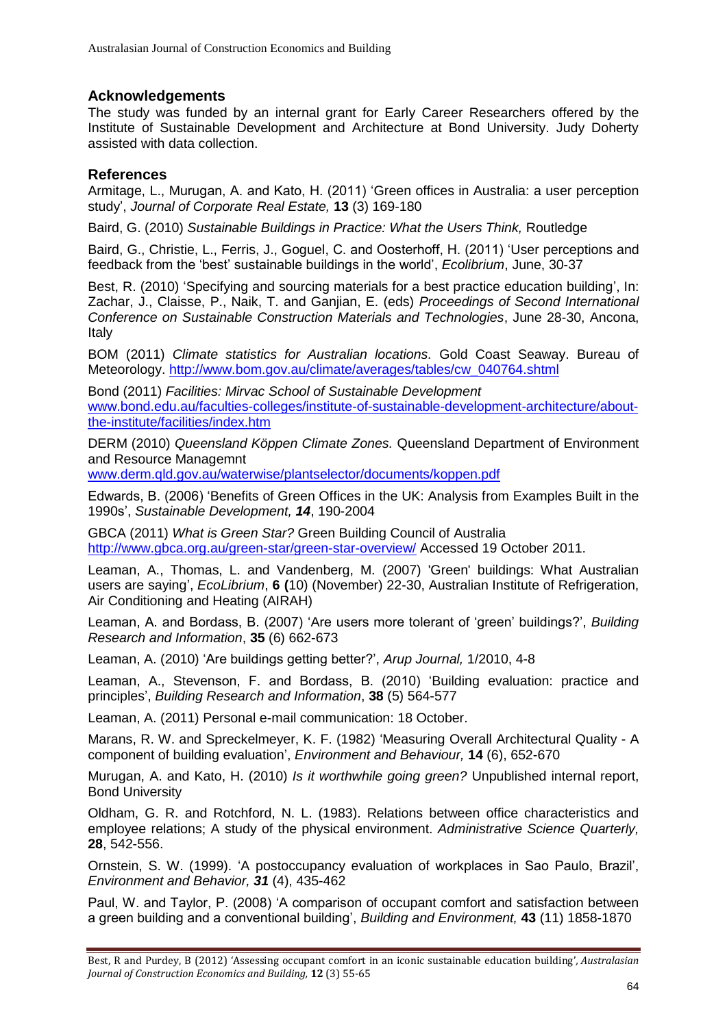# **Acknowledgements**

The study was funded by an internal grant for Early Career Researchers offered by the Institute of Sustainable Development and Architecture at Bond University. Judy Doherty assisted with data collection.

# **References**

Armitage, L., Murugan, A. and Kato, H. (2011) 'Green offices in Australia: a user perception study', *Journal of Corporate Real Estate,* **13** (3) 169-180

Baird, G. (2010) *Sustainable Buildings in Practice: What the Users Think,* Routledge

Baird, G., Christie, L., Ferris, J., Goguel, C. and Oosterhoff, H. (2011) 'User perceptions and feedback from the 'best' sustainable buildings in the world', *Ecolibrium*, June, 30-37

Best, R. (2010) 'Specifying and sourcing materials for a best practice education building', In: Zachar, J., Claisse, P., Naik, T. and Ganjian, E. (eds) *Proceedings of Second International Conference on Sustainable Construction Materials and Technologies*, June 28-30, Ancona, Italy

BOM (2011) *Climate statistics for Australian locations.* Gold Coast Seaway. Bureau of Meteorology. [http://www.bom.gov.au/climate/averages/tables/cw\\_040764.shtml](http://www.bom.gov.au/climate/averages/tables/cw_040764.shtml)

Bond (2011) *Facilities: Mirvac School of Sustainable Development* [www.bond.edu.au/faculties-colleges/institute-of-sustainable-development-architecture/about](http://www.bond.edu.au/faculties-colleges/institute-of-sustainable-development-architecture/about-the-institute/facilities/index.htm)[the-institute/facilities/index.htm](http://www.bond.edu.au/faculties-colleges/institute-of-sustainable-development-architecture/about-the-institute/facilities/index.htm)

DERM (2010) *Queensland Köppen Climate Zones.* Queensland Department of Environment and Resource Managemnt

[www.derm.qld.gov.au/waterwise/plantselector/documents/koppen.pdf](http://www.derm.qld.gov.au/waterwise/plantselector/documents/koppen.pdf)

Edwards, B. (2006) 'Benefits of Green Offices in the UK: Analysis from Examples Built in the 1990s', *Sustainable Development, 14*, 190-2004

GBCA (2011) *What is Green Star?* Green Building Council of Australia <http://www.gbca.org.au/green-star/green-star-overview/> Accessed 19 October 2011.

Leaman, A., Thomas, L. and Vandenberg, M. (2007) 'Green' buildings: What Australian users are saying', *EcoLibrium*, **6 (**10) (November) 22-30, Australian Institute of Refrigeration, Air Conditioning and Heating (AIRAH)

Leaman, A. and Bordass, B. (2007) 'Are users more tolerant of 'green' buildings?', *Building Research and Information*, **35** (6) 662-673

Leaman, A. (2010) 'Are buildings getting better?', *Arup Journal,* 1/2010, 4-8

Leaman, A., Stevenson, F. and Bordass, B. (2010) 'Building evaluation: practice and principles', *Building Research and Information*, **38** (5) 564-577

Leaman, A. (2011) Personal e-mail communication: 18 October.

Marans, R. W. and Spreckelmeyer, K. F. (1982) 'Measuring Overall Architectural Quality - A component of building evaluation', *Environment and Behaviour,* **14** (6), 652-670

Murugan, A. and Kato, H. (2010) *Is it worthwhile going green?* Unpublished internal report, Bond University

Oldham, G. R. and Rotchford, N. L. (1983). Relations between office characteristics and employee relations; A study of the physical environment. *Administrative Science Quarterly,*  **28**, 542-556.

Ornstein, S. W. (1999). 'A postoccupancy evaluation of workplaces in Sao Paulo, Brazil', *Environment and Behavior, 31* (4), 435-462

Paul, W. and Taylor, P. (2008) 'A comparison of occupant comfort and satisfaction between a green building and a conventional building', *Building and Environment,* **43** (11) 1858-1870